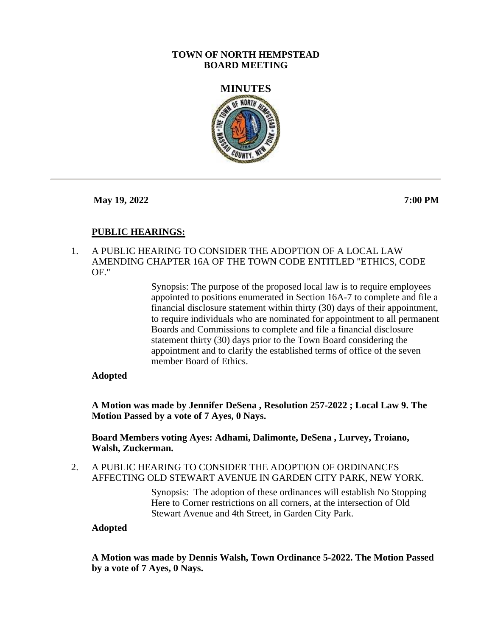## **TOWN OF NORTH HEMPSTEAD BOARD MEETING**



**May 19, 2022 7:00 PM**

# **PUBLIC HEARINGS:**

1. A PUBLIC HEARING TO CONSIDER THE ADOPTION OF A LOCAL LAW AMENDING CHAPTER 16A OF THE TOWN CODE ENTITLED "ETHICS, CODE OF."

> Synopsis: The purpose of the proposed local law is to require employees appointed to positions enumerated in Section 16A-7 to complete and file a financial disclosure statement within thirty (30) days of their appointment, to require individuals who are nominated for appointment to all permanent Boards and Commissions to complete and file a financial disclosure statement thirty (30) days prior to the Town Board considering the appointment and to clarify the established terms of office of the seven member Board of Ethics.

## **Adopted**

**A Motion was made by Jennifer DeSena , Resolution 257-2022 ; Local Law 9. The Motion Passed by a vote of 7 Ayes, 0 Nays.**

**Board Members voting Ayes: Adhami, Dalimonte, DeSena , Lurvey, Troiano, Walsh, Zuckerman.**

2. A PUBLIC HEARING TO CONSIDER THE ADOPTION OF ORDINANCES AFFECTING OLD STEWART AVENUE IN GARDEN CITY PARK, NEW YORK.

> Synopsis: The adoption of these ordinances will establish No Stopping Here to Corner restrictions on all corners, at the intersection of Old Stewart Avenue and 4th Street, in Garden City Park.

## **Adopted**

**A Motion was made by Dennis Walsh, Town Ordinance 5-2022. The Motion Passed by a vote of 7 Ayes, 0 Nays.**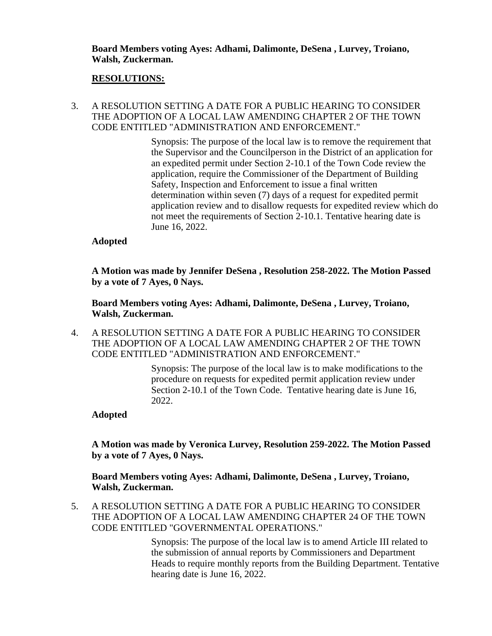**Board Members voting Ayes: Adhami, Dalimonte, DeSena , Lurvey, Troiano, Walsh, Zuckerman.**

#### **RESOLUTIONS:**

3. A RESOLUTION SETTING A DATE FOR A PUBLIC HEARING TO CONSIDER THE ADOPTION OF A LOCAL LAW AMENDING CHAPTER 2 OF THE TOWN CODE ENTITLED "ADMINISTRATION AND ENFORCEMENT."

> Synopsis: The purpose of the local law is to remove the requirement that the Supervisor and the Councilperson in the District of an application for an expedited permit under Section 2-10.1 of the Town Code review the application, require the Commissioner of the Department of Building Safety, Inspection and Enforcement to issue a final written determination within seven (7) days of a request for expedited permit application review and to disallow requests for expedited review which do not meet the requirements of Section 2-10.1. Tentative hearing date is June 16, 2022.

#### **Adopted**

**A Motion was made by Jennifer DeSena , Resolution 258-2022. The Motion Passed by a vote of 7 Ayes, 0 Nays.**

**Board Members voting Ayes: Adhami, Dalimonte, DeSena , Lurvey, Troiano, Walsh, Zuckerman.**

4. A RESOLUTION SETTING A DATE FOR A PUBLIC HEARING TO CONSIDER THE ADOPTION OF A LOCAL LAW AMENDING CHAPTER 2 OF THE TOWN CODE ENTITLED "ADMINISTRATION AND ENFORCEMENT."

> Synopsis: The purpose of the local law is to make modifications to the procedure on requests for expedited permit application review under Section 2-10.1 of the Town Code. Tentative hearing date is June 16, 2022.

#### **Adopted**

**A Motion was made by Veronica Lurvey, Resolution 259-2022. The Motion Passed by a vote of 7 Ayes, 0 Nays.**

**Board Members voting Ayes: Adhami, Dalimonte, DeSena , Lurvey, Troiano, Walsh, Zuckerman.**

5. A RESOLUTION SETTING A DATE FOR A PUBLIC HEARING TO CONSIDER THE ADOPTION OF A LOCAL LAW AMENDING CHAPTER 24 OF THE TOWN CODE ENTITLED "GOVERNMENTAL OPERATIONS."

> Synopsis: The purpose of the local law is to amend Article III related to the submission of annual reports by Commissioners and Department Heads to require monthly reports from the Building Department. Tentative hearing date is June 16, 2022.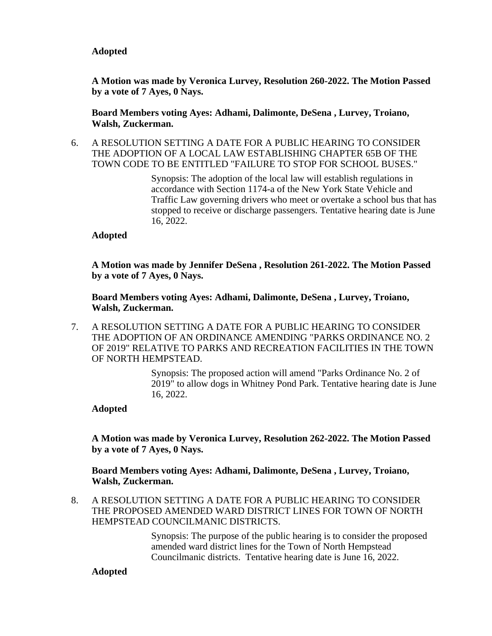**A Motion was made by Veronica Lurvey, Resolution 260-2022. The Motion Passed by a vote of 7 Ayes, 0 Nays.**

**Board Members voting Ayes: Adhami, Dalimonte, DeSena , Lurvey, Troiano, Walsh, Zuckerman.**

6. A RESOLUTION SETTING A DATE FOR A PUBLIC HEARING TO CONSIDER THE ADOPTION OF A LOCAL LAW ESTABLISHING CHAPTER 65B OF THE TOWN CODE TO BE ENTITLED "FAILURE TO STOP FOR SCHOOL BUSES."

> Synopsis: The adoption of the local law will establish regulations in accordance with Section 1174-a of the New York State Vehicle and Traffic Law governing drivers who meet or overtake a school bus that has stopped to receive or discharge passengers. Tentative hearing date is June 16, 2022.

## **Adopted**

**A Motion was made by Jennifer DeSena , Resolution 261-2022. The Motion Passed by a vote of 7 Ayes, 0 Nays.**

**Board Members voting Ayes: Adhami, Dalimonte, DeSena , Lurvey, Troiano, Walsh, Zuckerman.**

7. A RESOLUTION SETTING A DATE FOR A PUBLIC HEARING TO CONSIDER THE ADOPTION OF AN ORDINANCE AMENDING "PARKS ORDINANCE NO. 2 OF 2019" RELATIVE TO PARKS AND RECREATION FACILITIES IN THE TOWN OF NORTH HEMPSTEAD.

> Synopsis: The proposed action will amend "Parks Ordinance No. 2 of 2019" to allow dogs in Whitney Pond Park. Tentative hearing date is June 16, 2022.

## **Adopted**

**A Motion was made by Veronica Lurvey, Resolution 262-2022. The Motion Passed by a vote of 7 Ayes, 0 Nays.**

**Board Members voting Ayes: Adhami, Dalimonte, DeSena , Lurvey, Troiano, Walsh, Zuckerman.**

8. A RESOLUTION SETTING A DATE FOR A PUBLIC HEARING TO CONSIDER THE PROPOSED AMENDED WARD DISTRICT LINES FOR TOWN OF NORTH HEMPSTEAD COUNCILMANIC DISTRICTS.

> Synopsis: The purpose of the public hearing is to consider the proposed amended ward district lines for the Town of North Hempstead Councilmanic districts. Tentative hearing date is June 16, 2022.

## **Adopted**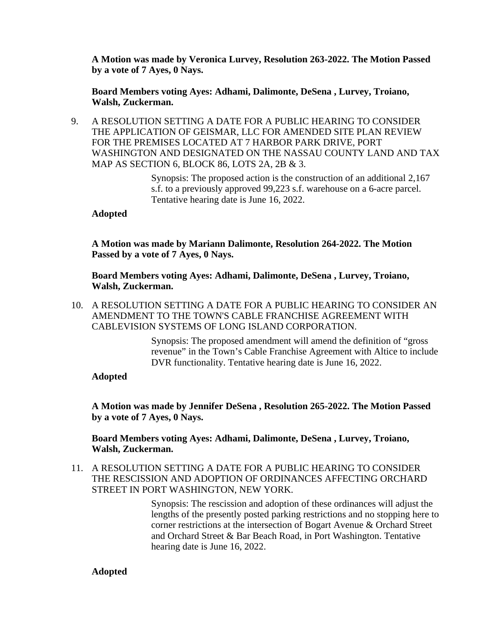**A Motion was made by Veronica Lurvey, Resolution 263-2022. The Motion Passed by a vote of 7 Ayes, 0 Nays.**

**Board Members voting Ayes: Adhami, Dalimonte, DeSena , Lurvey, Troiano, Walsh, Zuckerman.**

9. A RESOLUTION SETTING A DATE FOR A PUBLIC HEARING TO CONSIDER THE APPLICATION OF GEISMAR, LLC FOR AMENDED SITE PLAN REVIEW FOR THE PREMISES LOCATED AT 7 HARBOR PARK DRIVE, PORT WASHINGTON AND DESIGNATED ON THE NASSAU COUNTY LAND AND TAX MAP AS SECTION 6, BLOCK 86, LOTS 2A, 2B & 3.

> Synopsis: The proposed action is the construction of an additional 2,167 s.f. to a previously approved 99,223 s.f. warehouse on a 6-acre parcel. Tentative hearing date is June 16, 2022.

## **Adopted**

**A Motion was made by Mariann Dalimonte, Resolution 264-2022. The Motion Passed by a vote of 7 Ayes, 0 Nays.**

**Board Members voting Ayes: Adhami, Dalimonte, DeSena , Lurvey, Troiano, Walsh, Zuckerman.**

10. A RESOLUTION SETTING A DATE FOR A PUBLIC HEARING TO CONSIDER AN AMENDMENT TO THE TOWN'S CABLE FRANCHISE AGREEMENT WITH CABLEVISION SYSTEMS OF LONG ISLAND CORPORATION.

> Synopsis: The proposed amendment will amend the definition of "gross revenue" in the Town's Cable Franchise Agreement with Altice to include DVR functionality. Tentative hearing date is June 16, 2022.

## **Adopted**

**A Motion was made by Jennifer DeSena , Resolution 265-2022. The Motion Passed by a vote of 7 Ayes, 0 Nays.**

**Board Members voting Ayes: Adhami, Dalimonte, DeSena , Lurvey, Troiano, Walsh, Zuckerman.**

11. A RESOLUTION SETTING A DATE FOR A PUBLIC HEARING TO CONSIDER THE RESCISSION AND ADOPTION OF ORDINANCES AFFECTING ORCHARD STREET IN PORT WASHINGTON, NEW YORK.

> Synopsis: The rescission and adoption of these ordinances will adjust the lengths of the presently posted parking restrictions and no stopping here to corner restrictions at the intersection of Bogart Avenue & Orchard Street and Orchard Street & Bar Beach Road, in Port Washington. Tentative hearing date is June 16, 2022.

## **Adopted**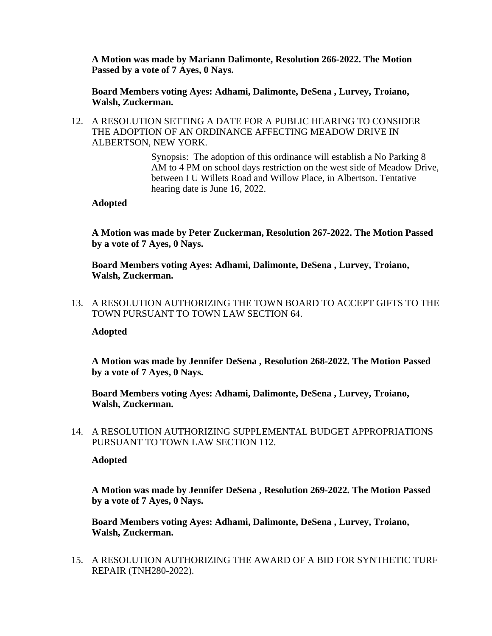**A Motion was made by Mariann Dalimonte, Resolution 266-2022. The Motion Passed by a vote of 7 Ayes, 0 Nays.**

**Board Members voting Ayes: Adhami, Dalimonte, DeSena , Lurvey, Troiano, Walsh, Zuckerman.**

12. A RESOLUTION SETTING A DATE FOR A PUBLIC HEARING TO CONSIDER THE ADOPTION OF AN ORDINANCE AFFECTING MEADOW DRIVE IN ALBERTSON, NEW YORK.

> Synopsis: The adoption of this ordinance will establish a No Parking 8 AM to 4 PM on school days restriction on the west side of Meadow Drive, between I U Willets Road and Willow Place, in Albertson. Tentative hearing date is June 16, 2022.

#### **Adopted**

**A Motion was made by Peter Zuckerman, Resolution 267-2022. The Motion Passed by a vote of 7 Ayes, 0 Nays.**

**Board Members voting Ayes: Adhami, Dalimonte, DeSena , Lurvey, Troiano, Walsh, Zuckerman.**

13. A RESOLUTION AUTHORIZING THE TOWN BOARD TO ACCEPT GIFTS TO THE TOWN PURSUANT TO TOWN LAW SECTION 64.

## **Adopted**

**A Motion was made by Jennifer DeSena , Resolution 268-2022. The Motion Passed by a vote of 7 Ayes, 0 Nays.**

**Board Members voting Ayes: Adhami, Dalimonte, DeSena , Lurvey, Troiano, Walsh, Zuckerman.**

14. A RESOLUTION AUTHORIZING SUPPLEMENTAL BUDGET APPROPRIATIONS PURSUANT TO TOWN LAW SECTION 112.

**Adopted**

**A Motion was made by Jennifer DeSena , Resolution 269-2022. The Motion Passed by a vote of 7 Ayes, 0 Nays.**

**Board Members voting Ayes: Adhami, Dalimonte, DeSena , Lurvey, Troiano, Walsh, Zuckerman.**

15. A RESOLUTION AUTHORIZING THE AWARD OF A BID FOR SYNTHETIC TURF REPAIR (TNH280-2022).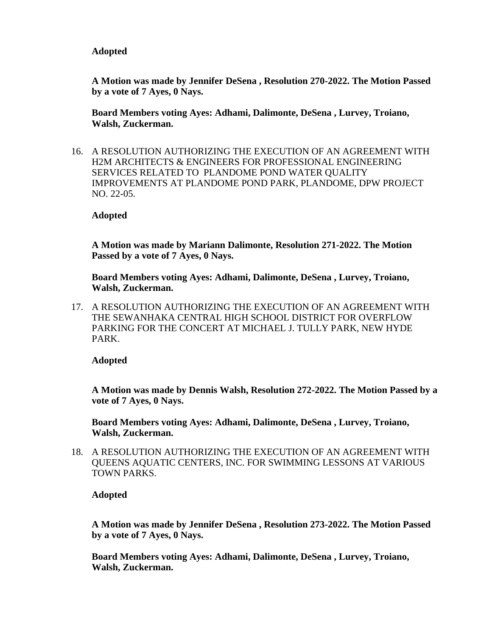**A Motion was made by Jennifer DeSena , Resolution 270-2022. The Motion Passed by a vote of 7 Ayes, 0 Nays.**

**Board Members voting Ayes: Adhami, Dalimonte, DeSena , Lurvey, Troiano, Walsh, Zuckerman.**

16. A RESOLUTION AUTHORIZING THE EXECUTION OF AN AGREEMENT WITH H2M ARCHITECTS & ENGINEERS FOR PROFESSIONAL ENGINEERING SERVICES RELATED TO PLANDOME POND WATER QUALITY IMPROVEMENTS AT PLANDOME POND PARK, PLANDOME, DPW PROJECT NO. 22-05.

#### **Adopted**

**A Motion was made by Mariann Dalimonte, Resolution 271-2022. The Motion Passed by a vote of 7 Ayes, 0 Nays.**

**Board Members voting Ayes: Adhami, Dalimonte, DeSena , Lurvey, Troiano, Walsh, Zuckerman.**

17. A RESOLUTION AUTHORIZING THE EXECUTION OF AN AGREEMENT WITH THE SEWANHAKA CENTRAL HIGH SCHOOL DISTRICT FOR OVERFLOW PARKING FOR THE CONCERT AT MICHAEL J. TULLY PARK, NEW HYDE PARK.

**Adopted**

**A Motion was made by Dennis Walsh, Resolution 272-2022. The Motion Passed by a vote of 7 Ayes, 0 Nays.**

**Board Members voting Ayes: Adhami, Dalimonte, DeSena , Lurvey, Troiano, Walsh, Zuckerman.**

18. A RESOLUTION AUTHORIZING THE EXECUTION OF AN AGREEMENT WITH QUEENS AQUATIC CENTERS, INC. FOR SWIMMING LESSONS AT VARIOUS TOWN PARKS.

**Adopted**

**A Motion was made by Jennifer DeSena , Resolution 273-2022. The Motion Passed by a vote of 7 Ayes, 0 Nays.**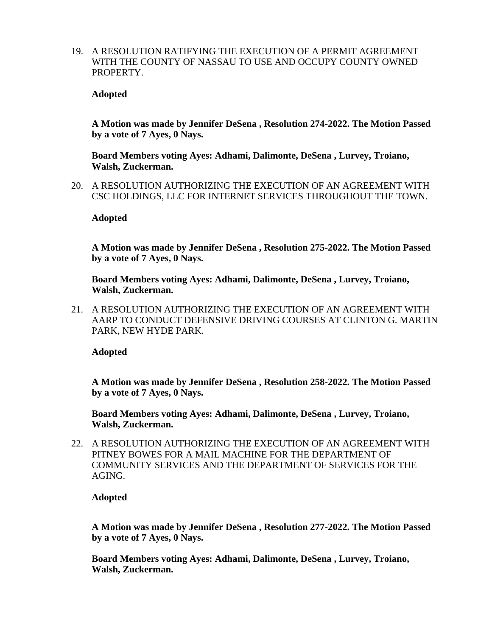19. A RESOLUTION RATIFYING THE EXECUTION OF A PERMIT AGREEMENT WITH THE COUNTY OF NASSAU TO USE AND OCCUPY COUNTY OWNED PROPERTY.

#### **Adopted**

**A Motion was made by Jennifer DeSena , Resolution 274-2022. The Motion Passed by a vote of 7 Ayes, 0 Nays.**

**Board Members voting Ayes: Adhami, Dalimonte, DeSena , Lurvey, Troiano, Walsh, Zuckerman.**

20. A RESOLUTION AUTHORIZING THE EXECUTION OF AN AGREEMENT WITH CSC HOLDINGS, LLC FOR INTERNET SERVICES THROUGHOUT THE TOWN.

#### **Adopted**

**A Motion was made by Jennifer DeSena , Resolution 275-2022. The Motion Passed by a vote of 7 Ayes, 0 Nays.**

**Board Members voting Ayes: Adhami, Dalimonte, DeSena , Lurvey, Troiano, Walsh, Zuckerman.**

21. A RESOLUTION AUTHORIZING THE EXECUTION OF AN AGREEMENT WITH AARP TO CONDUCT DEFENSIVE DRIVING COURSES AT CLINTON G. MARTIN PARK, NEW HYDE PARK.

**Adopted**

**A Motion was made by Jennifer DeSena , Resolution 258-2022. The Motion Passed by a vote of 7 Ayes, 0 Nays.**

**Board Members voting Ayes: Adhami, Dalimonte, DeSena , Lurvey, Troiano, Walsh, Zuckerman.**

22. A RESOLUTION AUTHORIZING THE EXECUTION OF AN AGREEMENT WITH PITNEY BOWES FOR A MAIL MACHINE FOR THE DEPARTMENT OF COMMUNITY SERVICES AND THE DEPARTMENT OF SERVICES FOR THE AGING.

**Adopted**

**A Motion was made by Jennifer DeSena , Resolution 277-2022. The Motion Passed by a vote of 7 Ayes, 0 Nays.**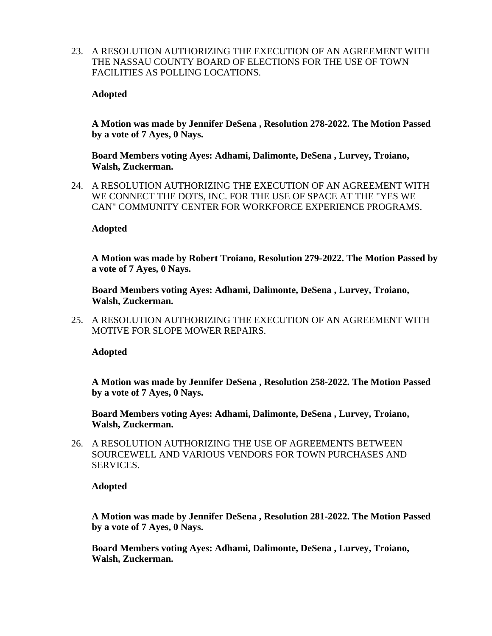23. A RESOLUTION AUTHORIZING THE EXECUTION OF AN AGREEMENT WITH THE NASSAU COUNTY BOARD OF ELECTIONS FOR THE USE OF TOWN FACILITIES AS POLLING LOCATIONS.

## **Adopted**

**A Motion was made by Jennifer DeSena , Resolution 278-2022. The Motion Passed by a vote of 7 Ayes, 0 Nays.**

**Board Members voting Ayes: Adhami, Dalimonte, DeSena , Lurvey, Troiano, Walsh, Zuckerman.**

24. A RESOLUTION AUTHORIZING THE EXECUTION OF AN AGREEMENT WITH WE CONNECT THE DOTS, INC. FOR THE USE OF SPACE AT THE "YES WE CAN" COMMUNITY CENTER FOR WORKFORCE EXPERIENCE PROGRAMS.

## **Adopted**

**A Motion was made by Robert Troiano, Resolution 279-2022. The Motion Passed by a vote of 7 Ayes, 0 Nays.**

**Board Members voting Ayes: Adhami, Dalimonte, DeSena , Lurvey, Troiano, Walsh, Zuckerman.**

25. A RESOLUTION AUTHORIZING THE EXECUTION OF AN AGREEMENT WITH MOTIVE FOR SLOPE MOWER REPAIRS.

**Adopted**

**A Motion was made by Jennifer DeSena , Resolution 258-2022. The Motion Passed by a vote of 7 Ayes, 0 Nays.**

**Board Members voting Ayes: Adhami, Dalimonte, DeSena , Lurvey, Troiano, Walsh, Zuckerman.**

26. A RESOLUTION AUTHORIZING THE USE OF AGREEMENTS BETWEEN SOURCEWELL AND VARIOUS VENDORS FOR TOWN PURCHASES AND SERVICES.

**Adopted**

**A Motion was made by Jennifer DeSena , Resolution 281-2022. The Motion Passed by a vote of 7 Ayes, 0 Nays.**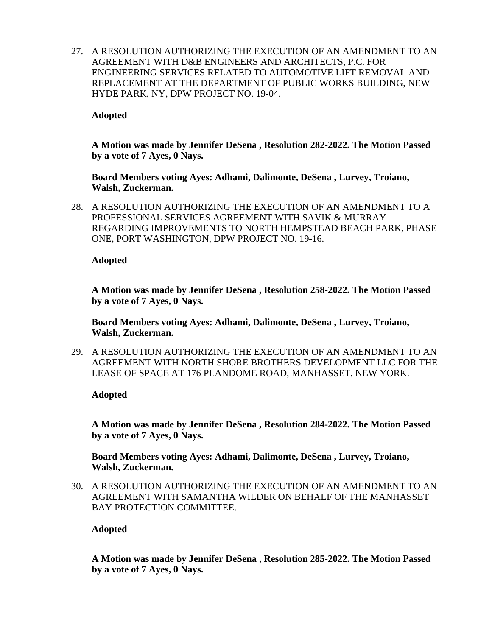27. A RESOLUTION AUTHORIZING THE EXECUTION OF AN AMENDMENT TO AN AGREEMENT WITH D&B ENGINEERS AND ARCHITECTS, P.C. FOR ENGINEERING SERVICES RELATED TO AUTOMOTIVE LIFT REMOVAL AND REPLACEMENT AT THE DEPARTMENT OF PUBLIC WORKS BUILDING, NEW HYDE PARK, NY, DPW PROJECT NO. 19-04.

## **Adopted**

**A Motion was made by Jennifer DeSena , Resolution 282-2022. The Motion Passed by a vote of 7 Ayes, 0 Nays.**

**Board Members voting Ayes: Adhami, Dalimonte, DeSena , Lurvey, Troiano, Walsh, Zuckerman.**

28. A RESOLUTION AUTHORIZING THE EXECUTION OF AN AMENDMENT TO A PROFESSIONAL SERVICES AGREEMENT WITH SAVIK & MURRAY REGARDING IMPROVEMENTS TO NORTH HEMPSTEAD BEACH PARK, PHASE ONE, PORT WASHINGTON, DPW PROJECT NO. 19-16.

## **Adopted**

**A Motion was made by Jennifer DeSena , Resolution 258-2022. The Motion Passed by a vote of 7 Ayes, 0 Nays.**

**Board Members voting Ayes: Adhami, Dalimonte, DeSena , Lurvey, Troiano, Walsh, Zuckerman.**

29. A RESOLUTION AUTHORIZING THE EXECUTION OF AN AMENDMENT TO AN AGREEMENT WITH NORTH SHORE BROTHERS DEVELOPMENT LLC FOR THE LEASE OF SPACE AT 176 PLANDOME ROAD, MANHASSET, NEW YORK.

## **Adopted**

**A Motion was made by Jennifer DeSena , Resolution 284-2022. The Motion Passed by a vote of 7 Ayes, 0 Nays.**

**Board Members voting Ayes: Adhami, Dalimonte, DeSena , Lurvey, Troiano, Walsh, Zuckerman.**

30. A RESOLUTION AUTHORIZING THE EXECUTION OF AN AMENDMENT TO AN AGREEMENT WITH SAMANTHA WILDER ON BEHALF OF THE MANHASSET BAY PROTECTION COMMITTEE.

## **Adopted**

**A Motion was made by Jennifer DeSena , Resolution 285-2022. The Motion Passed by a vote of 7 Ayes, 0 Nays.**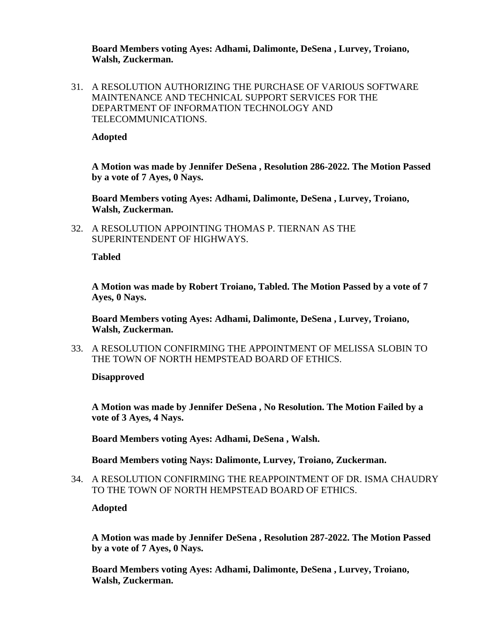**Board Members voting Ayes: Adhami, Dalimonte, DeSena , Lurvey, Troiano, Walsh, Zuckerman.**

31. A RESOLUTION AUTHORIZING THE PURCHASE OF VARIOUS SOFTWARE MAINTENANCE AND TECHNICAL SUPPORT SERVICES FOR THE DEPARTMENT OF INFORMATION TECHNOLOGY AND TELECOMMUNICATIONS.

**Adopted**

**A Motion was made by Jennifer DeSena , Resolution 286-2022. The Motion Passed by a vote of 7 Ayes, 0 Nays.**

**Board Members voting Ayes: Adhami, Dalimonte, DeSena , Lurvey, Troiano, Walsh, Zuckerman.**

32. A RESOLUTION APPOINTING THOMAS P. TIERNAN AS THE SUPERINTENDENT OF HIGHWAYS.

**Tabled**

**A Motion was made by Robert Troiano, Tabled. The Motion Passed by a vote of 7 Ayes, 0 Nays.**

**Board Members voting Ayes: Adhami, Dalimonte, DeSena , Lurvey, Troiano, Walsh, Zuckerman.**

33. A RESOLUTION CONFIRMING THE APPOINTMENT OF MELISSA SLOBIN TO THE TOWN OF NORTH HEMPSTEAD BOARD OF ETHICS.

**Disapproved**

**A Motion was made by Jennifer DeSena , No Resolution. The Motion Failed by a vote of 3 Ayes, 4 Nays.**

**Board Members voting Ayes: Adhami, DeSena , Walsh.**

**Board Members voting Nays: Dalimonte, Lurvey, Troiano, Zuckerman.**

34. A RESOLUTION CONFIRMING THE REAPPOINTMENT OF DR. ISMA CHAUDRY TO THE TOWN OF NORTH HEMPSTEAD BOARD OF ETHICS.

**Adopted**

**A Motion was made by Jennifer DeSena , Resolution 287-2022. The Motion Passed by a vote of 7 Ayes, 0 Nays.**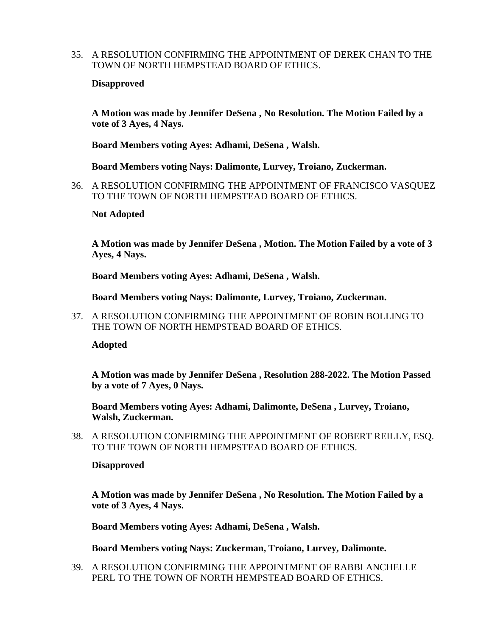35. A RESOLUTION CONFIRMING THE APPOINTMENT OF DEREK CHAN TO THE TOWN OF NORTH HEMPSTEAD BOARD OF ETHICS.

#### **Disapproved**

**A Motion was made by Jennifer DeSena , No Resolution. The Motion Failed by a vote of 3 Ayes, 4 Nays.**

**Board Members voting Ayes: Adhami, DeSena , Walsh.**

**Board Members voting Nays: Dalimonte, Lurvey, Troiano, Zuckerman.**

36. A RESOLUTION CONFIRMING THE APPOINTMENT OF FRANCISCO VASQUEZ TO THE TOWN OF NORTH HEMPSTEAD BOARD OF ETHICS.

#### **Not Adopted**

**A Motion was made by Jennifer DeSena , Motion. The Motion Failed by a vote of 3 Ayes, 4 Nays.**

**Board Members voting Ayes: Adhami, DeSena , Walsh.**

**Board Members voting Nays: Dalimonte, Lurvey, Troiano, Zuckerman.**

37. A RESOLUTION CONFIRMING THE APPOINTMENT OF ROBIN BOLLING TO THE TOWN OF NORTH HEMPSTEAD BOARD OF ETHICS.

**Adopted**

**A Motion was made by Jennifer DeSena , Resolution 288-2022. The Motion Passed by a vote of 7 Ayes, 0 Nays.**

**Board Members voting Ayes: Adhami, Dalimonte, DeSena , Lurvey, Troiano, Walsh, Zuckerman.**

38. A RESOLUTION CONFIRMING THE APPOINTMENT OF ROBERT REILLY, ESQ. TO THE TOWN OF NORTH HEMPSTEAD BOARD OF ETHICS.

#### **Disapproved**

**A Motion was made by Jennifer DeSena , No Resolution. The Motion Failed by a vote of 3 Ayes, 4 Nays.**

**Board Members voting Ayes: Adhami, DeSena , Walsh.**

**Board Members voting Nays: Zuckerman, Troiano, Lurvey, Dalimonte.**

39. A RESOLUTION CONFIRMING THE APPOINTMENT OF RABBI ANCHELLE PERL TO THE TOWN OF NORTH HEMPSTEAD BOARD OF ETHICS.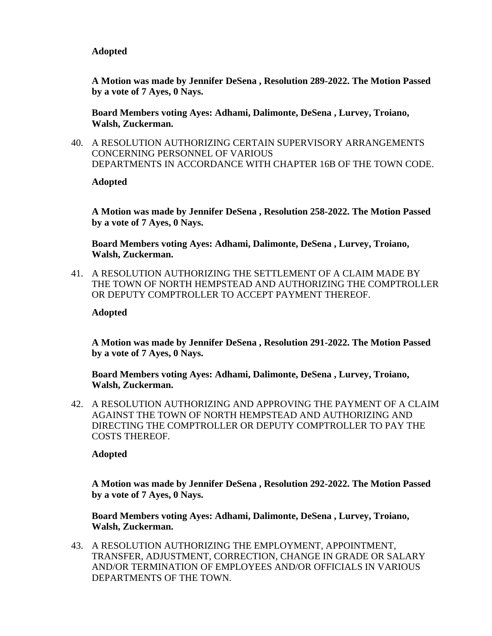**A Motion was made by Jennifer DeSena , Resolution 289-2022. The Motion Passed by a vote of 7 Ayes, 0 Nays.**

**Board Members voting Ayes: Adhami, Dalimonte, DeSena , Lurvey, Troiano, Walsh, Zuckerman.**

40. A RESOLUTION AUTHORIZING CERTAIN SUPERVISORY ARRANGEMENTS CONCERNING PERSONNEL OF VARIOUS DEPARTMENTS IN ACCORDANCE WITH CHAPTER 16B OF THE TOWN CODE.

**Adopted**

**A Motion was made by Jennifer DeSena , Resolution 258-2022. The Motion Passed by a vote of 7 Ayes, 0 Nays.**

**Board Members voting Ayes: Adhami, Dalimonte, DeSena , Lurvey, Troiano, Walsh, Zuckerman.**

41. A RESOLUTION AUTHORIZING THE SETTLEMENT OF A CLAIM MADE BY THE TOWN OF NORTH HEMPSTEAD AND AUTHORIZING THE COMPTROLLER OR DEPUTY COMPTROLLER TO ACCEPT PAYMENT THEREOF.

## **Adopted**

**A Motion was made by Jennifer DeSena , Resolution 291-2022. The Motion Passed by a vote of 7 Ayes, 0 Nays.**

**Board Members voting Ayes: Adhami, Dalimonte, DeSena , Lurvey, Troiano, Walsh, Zuckerman.**

42. A RESOLUTION AUTHORIZING AND APPROVING THE PAYMENT OF A CLAIM AGAINST THE TOWN OF NORTH HEMPSTEAD AND AUTHORIZING AND DIRECTING THE COMPTROLLER OR DEPUTY COMPTROLLER TO PAY THE COSTS THEREOF.

**Adopted**

**A Motion was made by Jennifer DeSena , Resolution 292-2022. The Motion Passed by a vote of 7 Ayes, 0 Nays.**

**Board Members voting Ayes: Adhami, Dalimonte, DeSena , Lurvey, Troiano, Walsh, Zuckerman.**

43. A RESOLUTION AUTHORIZING THE EMPLOYMENT, APPOINTMENT, TRANSFER, ADJUSTMENT, CORRECTION, CHANGE IN GRADE OR SALARY AND/OR TERMINATION OF EMPLOYEES AND/OR OFFICIALS IN VARIOUS DEPARTMENTS OF THE TOWN.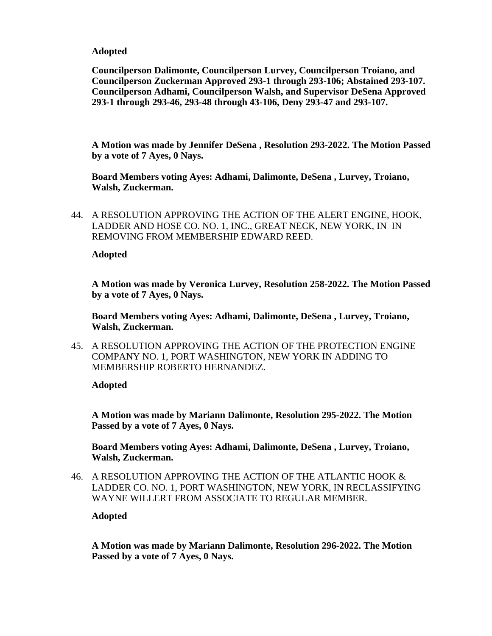**Councilperson Dalimonte, Councilperson Lurvey, Councilperson Troiano, and Councilperson Zuckerman Approved 293-1 through 293-106; Abstained 293-107. Councilperson Adhami, Councilperson Walsh, and Supervisor DeSena Approved 293-1 through 293-46, 293-48 through 43-106, Deny 293-47 and 293-107.** 

**A Motion was made by Jennifer DeSena , Resolution 293-2022. The Motion Passed by a vote of 7 Ayes, 0 Nays.**

**Board Members voting Ayes: Adhami, Dalimonte, DeSena , Lurvey, Troiano, Walsh, Zuckerman.**

44. A RESOLUTION APPROVING THE ACTION OF THE ALERT ENGINE, HOOK, LADDER AND HOSE CO. NO. 1, INC., GREAT NECK, NEW YORK, IN IN REMOVING FROM MEMBERSHIP EDWARD REED.

**Adopted**

**A Motion was made by Veronica Lurvey, Resolution 258-2022. The Motion Passed by a vote of 7 Ayes, 0 Nays.**

**Board Members voting Ayes: Adhami, Dalimonte, DeSena , Lurvey, Troiano, Walsh, Zuckerman.**

45. A RESOLUTION APPROVING THE ACTION OF THE PROTECTION ENGINE COMPANY NO. 1, PORT WASHINGTON, NEW YORK IN ADDING TO MEMBERSHIP ROBERTO HERNANDEZ.

**Adopted**

**A Motion was made by Mariann Dalimonte, Resolution 295-2022. The Motion Passed by a vote of 7 Ayes, 0 Nays.**

**Board Members voting Ayes: Adhami, Dalimonte, DeSena , Lurvey, Troiano, Walsh, Zuckerman.**

46. A RESOLUTION APPROVING THE ACTION OF THE ATLANTIC HOOK & LADDER CO. NO. 1, PORT WASHINGTON, NEW YORK, IN RECLASSIFYING WAYNE WILLERT FROM ASSOCIATE TO REGULAR MEMBER.

**Adopted**

**A Motion was made by Mariann Dalimonte, Resolution 296-2022. The Motion Passed by a vote of 7 Ayes, 0 Nays.**